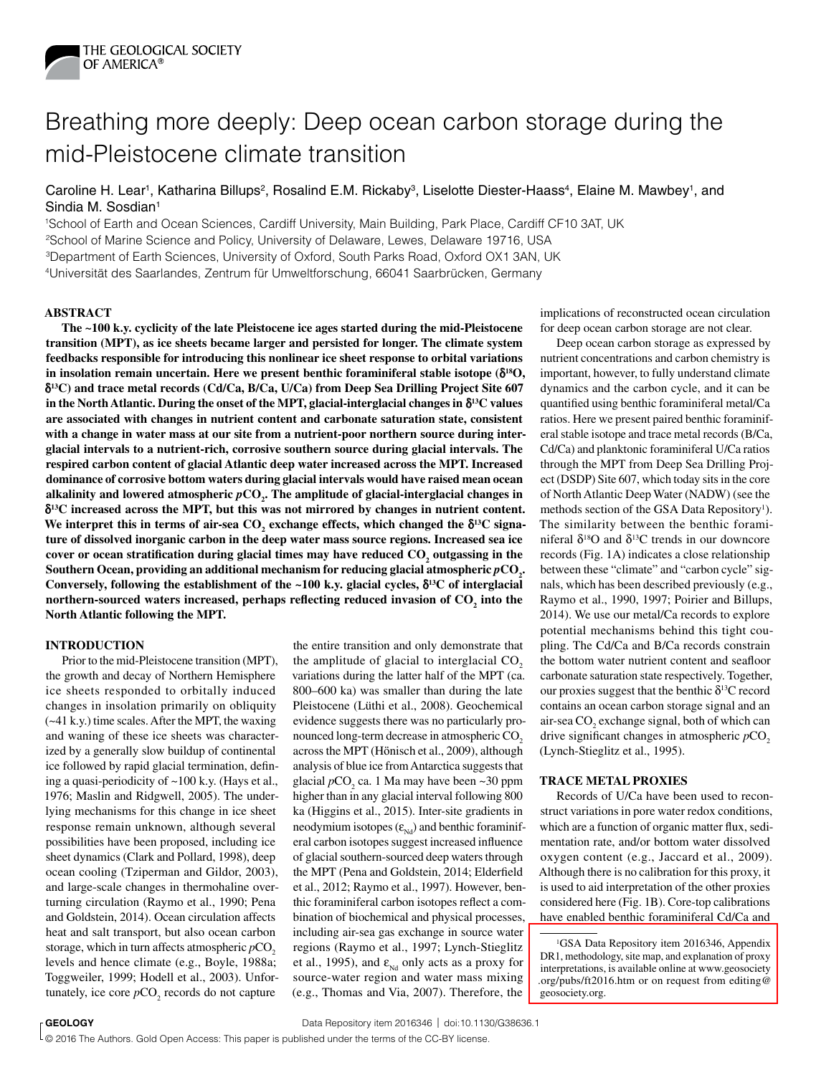

# Breathing more deeply: Deep ocean carbon storage during the mid-Pleistocene climate transition

Caroline H. Lear<sup>1</sup>, Katharina Billups<sup>2</sup>, Rosalind E.M. Rickaby<sup>3</sup>, Liselotte Diester-Haass<sup>4</sup>, Elaine M. Mawbey<sup>1</sup>, and Sindia M. Sosdian<sup>1</sup>

1School of Earth and Ocean Sciences, Cardiff University, Main Building, Park Place, Cardiff CF10 3AT, UK

2School of Marine Science and Policy, University of Delaware, Lewes, Delaware 19716, USA

3Department of Earth Sciences, University of Oxford, South Parks Road, Oxford OX1 3AN, UK

4Universität des Saarlandes, Zentrum für Umweltforschung, 66041 Saarbrücken, Germany

## **ABSTRACT**

**The ~100 k.y. cyclicity of the late Pleistocene ice ages started during the mid-Pleistocene transition (MPT), as ice sheets became larger and persisted for longer. The climate system feedbacks responsible for introducing this nonlinear ice sheet response to orbital variations**  in insolation remain uncertain. Here we present benthic foraminiferal stable isotope ( $\delta^{18}O$ , d**13C) and trace metal records (Cd/Ca, B/Ca, U/Ca) from Deep Sea Drilling Project Site 607**  in the North Atlantic. During the onset of the MPT, glacial-interglacial changes in  $\delta^{13}C$  values **are associated with changes in nutrient content and carbonate saturation state, consistent with a change in water mass at our site from a nutrient-poor northern source during interglacial intervals to a nutrient-rich, corrosive southern source during glacial intervals. The respired carbon content of glacial Atlantic deep water increased across the MPT. Increased dominance of corrosive bottom waters during glacial intervals would have raised mean ocean**  alkalinity and lowered atmospheric  $p\text{CO}_2$ . The amplitude of glacial-interglacial changes in d**13C increased across the MPT, but this was not mirrored by changes in nutrient content.**  We interpret this in terms of air-sea  $CO_2$  exchange effects, which changed the  $\delta^{13}C$  signa**ture of dissolved inorganic carbon in the deep water mass source regions. Increased sea ice**  cover or ocean stratification during glacial times may have reduced CO<sub>2</sub> outgassing in the Southern Ocean, providing an additional mechanism for reducing glacial atmospheric  $p\text{CO}_2$ . Conversely, following the establishment of the ~100 k.y. glacial cycles,  $\delta^{13}C$  of interglacial **northern-sourced waters increased, perhaps reflecting reduced invasion of**  $\mathrm{CO}_2$  **into the North Atlantic following the MPT.**

### **INTRODUCTION**

Prior to the mid-Pleistocene transition (MPT), the growth and decay of Northern Hemisphere ice sheets responded to orbitally induced changes in insolation primarily on obliquity (~41 k.y.) time scales. After the MPT, the waxing and waning of these ice sheets was characterized by a generally slow buildup of continental ice followed by rapid glacial termination, defining a quasi-periodicity of ~100 k.y. (Hays et al., 1976; Maslin and Ridgwell, 2005). The underlying mechanisms for this change in ice sheet response remain unknown, although several possibilities have been proposed, including ice sheet dynamics (Clark and Pollard, 1998), deep ocean cooling (Tziperman and Gildor, 2003), and large-scale changes in thermohaline overturning circulation (Raymo et al., 1990; Pena and Goldstein, 2014). Ocean circulation affects heat and salt transport, but also ocean carbon storage, which in turn affects atmospheric  $pCO<sub>2</sub>$ levels and hence climate (e.g., Boyle, 1988a; Toggweiler, 1999; Hodell et al., 2003). Unfortunately, ice core  $pCO<sub>2</sub>$  records do not capture

the entire transition and only demonstrate that the amplitude of glacial to interglacial CO<sub>2</sub> variations during the latter half of the MPT (ca. 800–600 ka) was smaller than during the late Pleistocene (Lüthi et al., 2008). Geochemical evidence suggests there was no particularly pronounced long-term decrease in atmospheric CO<sub>2</sub> across the MPT (Hӧnisch et al., 2009), although analysis of blue ice from Antarctica suggests that glacial  $pCO_2$  ca. 1 Ma may have been  $\sim$ 30 ppm higher than in any glacial interval following 800 ka (Higgins et al., 2015). Inter-site gradients in neodymium isotopes  $(\varepsilon_{Nd})$  and benthic foraminiferal carbon isotopes suggest increased influence of glacial southern-sourced deep waters through the MPT (Pena and Goldstein, 2014; Elderfield et al., 2012; Raymo et al., 1997). However, benthic foraminiferal carbon isotopes reflect a combination of biochemical and physical processes, including air-sea gas exchange in source water regions (Raymo et al., 1997; Lynch-Stieglitz et al., 1995), and  $\varepsilon_{Nd}$  only acts as a proxy for source-water region and water mass mixing (e.g., Thomas and Via, 2007). Therefore, the

implications of reconstructed ocean circulation for deep ocean carbon storage are not clear.

Deep ocean carbon storage as expressed by nutrient concentrations and carbon chemistry is important, however, to fully understand climate dynamics and the carbon cycle, and it can be quantified using benthic foraminiferal metal/Ca ratios. Here we present paired benthic foraminiferal stable isotope and trace metal records (B/Ca, Cd/Ca) and planktonic foraminiferal U/Ca ratios through the MPT from Deep Sea Drilling Project (DSDP) Site 607, which today sits in the core of North Atlantic Deep Water (NADW) (see the methods section of the GSA Data Repository<sup>1</sup>). The similarity between the benthic foraminiferal  $\delta^{18}$ O and  $\delta^{13}$ C trends in our downcore records (Fig. 1A) indicates a close relationship between these "climate" and "carbon cycle" signals, which has been described previously (e.g., Raymo et al., 1990, 1997; Poirier and Billups, 2014). We use our metal/Ca records to explore potential mechanisms behind this tight coupling. The Cd/Ca and B/Ca records constrain the bottom water nutrient content and seafloor carbonate saturation state respectively. Together, our proxies suggest that the benthic  $\delta^{13}C$  record contains an ocean carbon storage signal and an air-sea  $CO<sub>2</sub>$  exchange signal, both of which can drive significant changes in atmospheric *pCO*<sub>2</sub> (Lynch-Stieglitz et al., 1995).

### **TRACE METAL PROXIES**

Records of U/Ca have been used to reconstruct variations in pore water redox conditions, which are a function of organic matter flux, sedimentation rate, and/or bottom water dissolved oxygen content (e.g., Jaccard et al., 2009). Although there is no calibration for this proxy, it is used to aid interpretation of the other proxies considered here (Fig. 1B). Core-top calibrations have enabled benthic foraminiferal Cd/Ca and

**GEOLOGY December 2016; P. 1036–1038 | Data Repository item 2016346 | doi:10.1130/G38636.1** | Published online X

© 2016 The Authors. Gold Open Access: This paper is published under the terms of the CC-BY license.

<sup>&</sup>lt;sup>1</sup>GSA Data Repository item 2016346, Appendix DR1, methodology, site map, and explanation of proxy interpretations, is available online at www.geosociety [.org/pubs/ft2016.htm or on request from editing@](ftp://rock.geosociety.org/pub/reposit/2016/2016346.pdf) geosociety.org.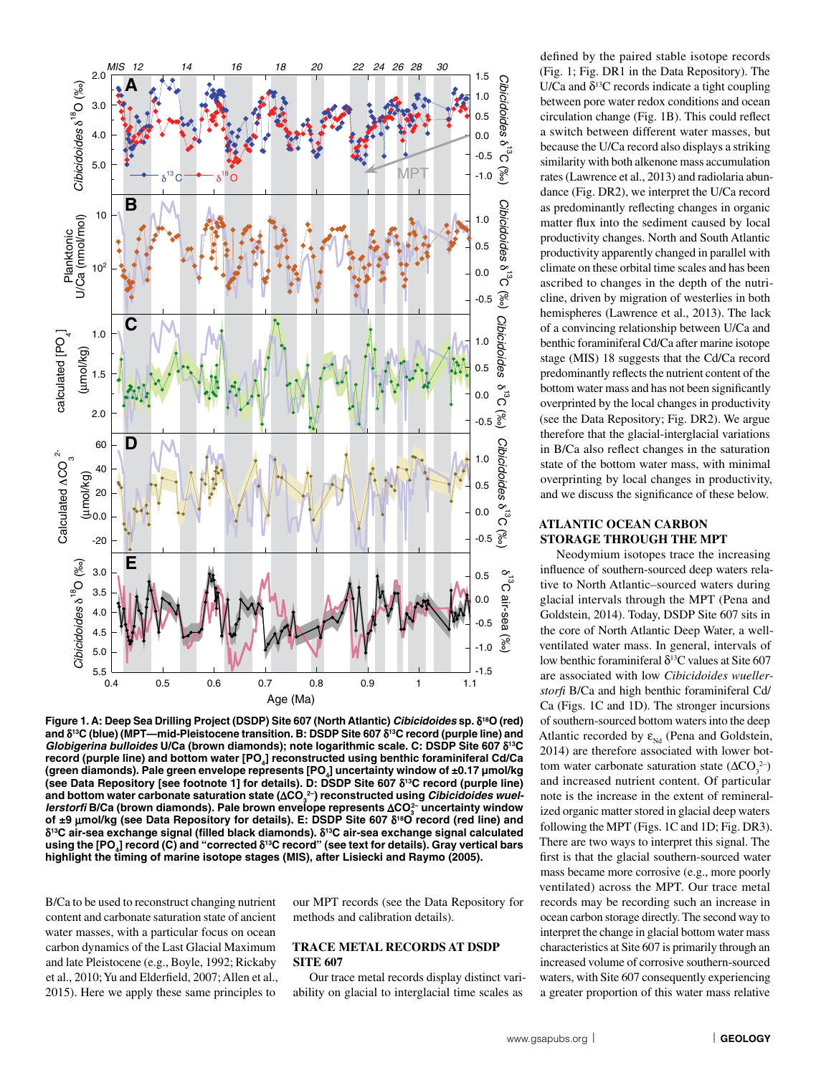

**Figure 1. A: Deep Sea Drilling Project (DSDP) Site 607 (North Atlantic)** *Cibicidoides* **sp.** d**18O (red) and** d**13C (blue) (MPT—mid-Pleistocene transition. B: DSDP Site 607** d**13C record (purple line) and**  *Globigerina bulloides* **U/Ca (brown diamonds); note logarithmic scale. C: DSDP Site 607** d**13C**  record (purple line) and bottom water [PO<sub>4</sub>] reconstructed using benthic foraminiferal Cd/Ca **(green diamonds). Pale green envelope represents [PO4] uncertainty window of ±0.17 µmol/kg (see Data Repository [see footnote 1] for details). D: DSDP Site 607** d**13C record (purple line)**  and bottom water carbonate saturation state (∆CO $_3^{2-}$ ) reconstructed using *Cibicidoides wuellerstorfi* **B/Ca (brown diamonds). Pale brown envelope represents ∆CO** $_3^2$  **uncertainty window** of ±9 μmol/kg (see Data Repository for details). E: DSDP Site 607 δ<sup>18</sup>O record (red line) and d**13C air-sea exchange signal (filled black diamonds).** d**13C air-sea exchange signal calculated**  using the [PO<sub>4</sub>] record (C) and "corrected  $\delta^{13}$ C record" (see text for details). Gray vertical bars **highlight the timing of marine isotope stages (MIS), after Lisiecki and Raymo (2005).**

B/Ca to be used to reconstruct changing nutrient content and carbonate saturation state of ancient water masses, with a particular focus on ocean carbon dynamics of the Last Glacial Maximum and late Pleistocene (e.g., Boyle, 1992; Rickaby et al., 2010; Yu and Elderfield, 2007; Allen et al., 2015). Here we apply these same principles to

our MPT records (see the Data Repository for methods and calibration details).

## **TRACE METAL RECORDS AT DSDP SITE 607**

Our trace metal records display distinct variability on glacial to interglacial time scales as

defined by the paired stable isotope records (Fig. 1; Fig. DR1 in the Data Repository). The U/Ca and  $\delta^{13}$ C records indicate a tight coupling between pore water redox conditions and ocean circulation change (Fig. 1B). This could reflect a switch between different water masses, but because the U/Ca record also displays a striking similarity with both alkenone mass accumulation rates (Lawrence et al., 2013) and radiolaria abundance (Fig. DR2), we interpret the U/Ca record as predominantly reflecting changes in organic matter flux into the sediment caused by local productivity changes. North and South Atlantic productivity apparently changed in parallel with climate on these orbital time scales and has been ascribed to changes in the depth of the nutricline, driven by migration of westerlies in both hemispheres (Lawrence et al., 2013). The lack of a convincing relationship between U/Ca and benthic foraminiferal Cd/Ca after marine isotope stage (MIS) 18 suggests that the Cd/Ca record predominantly reflects the nutrient content of the bottom water mass and has not been significantly overprinted by the local changes in productivity (see the Data Repository; Fig. DR2). We argue therefore that the glacial-interglacial variations in B/Ca also reflect changes in the saturation state of the bottom water mass, with minimal overprinting by local changes in productivity, and we discuss the significance of these below.

# **ATLANTIC OCEAN CARBON STORAGE THROUGH THE MPT**

Neodymium isotopes trace the increasing influence of southern-sourced deep waters relative to North Atlantic–sourced waters during glacial intervals through the MPT (Pena and Goldstein, 2014). Today, DSDP Site 607 sits in the core of North Atlantic Deep Water, a wellventilated water mass. In general, intervals of low benthic foraminiferal  $\delta^{13}$ C values at Site 607 are associated with low *Cibicidoides wuellerstorfi* B/Ca and high benthic foraminiferal Cd/ Ca (Figs. 1C and 1D). The stronger incursions of southern-sourced bottom waters into the deep Atlantic recorded by  $\varepsilon_{Nd}$  (Pena and Goldstein, 2014) are therefore associated with lower bottom water carbonate saturation state  $(\Delta CO_3^{2-})$ and increased nutrient content. Of particular note is the increase in the extent of remineralized organic matter stored in glacial deep waters following the MPT (Figs. 1C and 1D; Fig. DR3). There are two ways to interpret this signal. The first is that the glacial southern-sourced water mass became more corrosive (e.g., more poorly ventilated) across the MPT. Our trace metal records may be recording such an increase in ocean carbon storage directly. The second way to interpret the change in glacial bottom water mass characteristics at Site 607 is primarily through an increased volume of corrosive southern-sourced waters, with Site 607 consequently experiencing a greater proportion of this water mass relative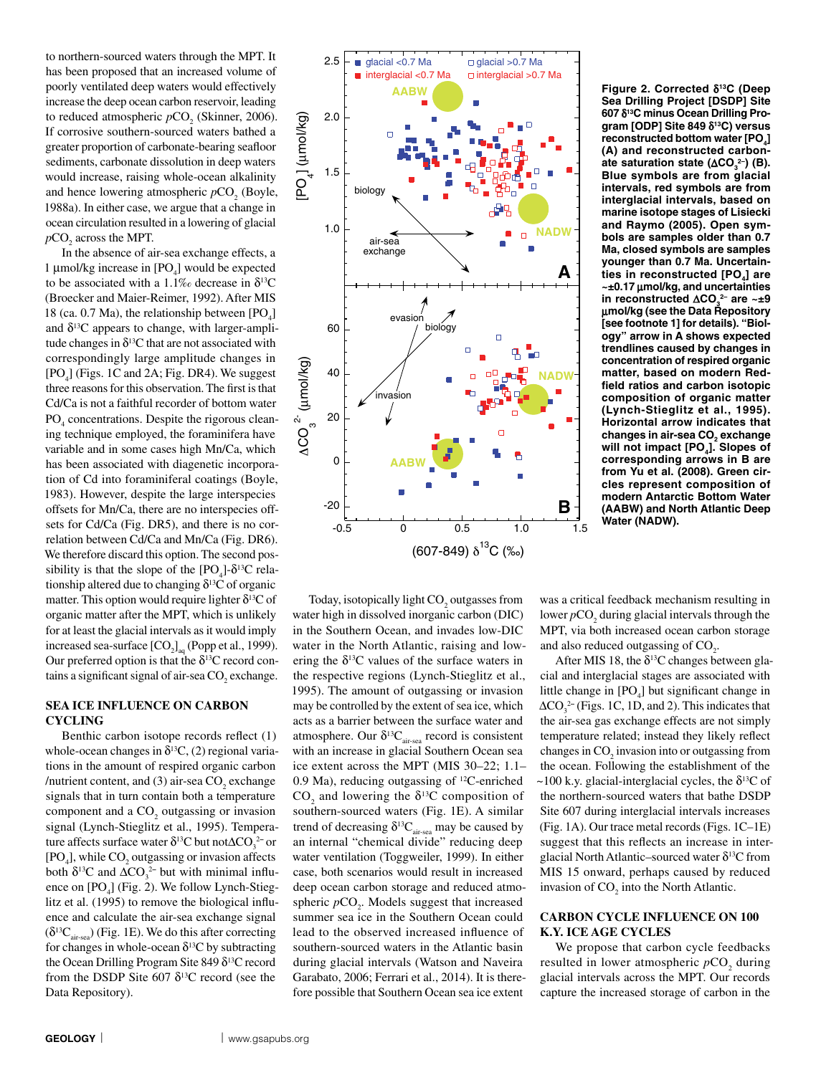to northern-sourced waters through the MPT. It has been proposed that an increased volume of poorly ventilated deep waters would effectively increase the deep ocean carbon reservoir, leading to reduced atmospheric  $pCO<sub>2</sub>$  (Skinner, 2006). If corrosive southern-sourced waters bathed a greater proportion of carbonate-bearing seafloor sediments, carbonate dissolution in deep waters would increase, raising whole-ocean alkalinity and hence lowering atmospheric  $pCO_2$  (Boyle, 1988a). In either case, we argue that a change in ocean circulation resulted in a lowering of glacial  $pCO<sub>2</sub>$  across the MPT.

In the absence of air-sea exchange effects, a 1 µmol/kg increase in  $[PO_4]$  would be expected to be associated with a 1.1‰ decrease in  $\delta^{13}C$ (Broecker and Maier-Reimer, 1992). After MIS 18 (ca. 0.7 Ma), the relationship between  $[PO_4]$ and  $\delta^{13}$ C appears to change, with larger-amplitude changes in  $\delta^{13}$ C that are not associated with correspondingly large amplitude changes in  $[PO<sub>4</sub>]$  (Figs. 1C and 2A; Fig. DR4). We suggest three reasons for this observation. The first is that Cd/Ca is not a faithful recorder of bottom water PO<sub>4</sub> concentrations. Despite the rigorous cleaning technique employed, the foraminifera have variable and in some cases high Mn/Ca, which has been associated with diagenetic incorporation of Cd into foraminiferal coatings (Boyle, 1983). However, despite the large interspecies offsets for Mn/Ca, there are no interspecies offsets for Cd/Ca (Fig. DR5), and there is no correlation between Cd/Ca and Mn/Ca (Fig. DR6). We therefore discard this option. The second possibility is that the slope of the  $[PO_4]$ - $\delta^{13}C$  relationship altered due to changing  $\delta^{13}C$  of organic matter. This option would require lighter  $\delta^{13}C$  of organic matter after the MPT, which is unlikely for at least the glacial intervals as it would imply increased sea-surface  $[CO_2]_{aq}$  (Popp et al., 1999). Our preferred option is that the  $\delta^{13}$ C record contains a significant signal of air-sea  $CO<sub>2</sub>$  exchange.

# **SEA ICE INFLUENCE ON CARBON CYCLING**

Benthic carbon isotope records reflect (1) whole-ocean changes in  $\delta^{13}C$ , (2) regional variations in the amount of respired organic carbon /nutrient content, and (3) air-sea  $CO<sub>2</sub>$  exchange signals that in turn contain both a temperature component and a  $CO<sub>2</sub>$  outgassing or invasion signal (Lynch-Stieglitz et al., 1995). Temperature affects surface water δ<sup>13</sup>C but notΔCO<sub>3</sub><sup>2–</sup> or  $[PO<sub>4</sub>]$ , while  $CO<sub>2</sub>$  outgassing or invasion affects both  $\delta^{13}$ C and  $\Delta CO_3^{2-}$  but with minimal influence on  $[PO_4]$  (Fig. 2). We follow Lynch-Stieglitz et al. (1995) to remove the biological influence and calculate the air-sea exchange signal  $(\delta^{13}C_{\text{air-sea}})$  (Fig. 1E). We do this after correcting for changes in whole-ocean  $\delta^{13}C$  by subtracting the Ocean Drilling Program Site 849  $\delta^{13}$ C record from the DSDP Site 607  $\delta^{13}$ C record (see the Data Repository).



Today, isotopically light  $\mathrm{CO}_2$  outgasses from water high in dissolved inorganic carbon (DIC) in the Southern Ocean, and invades low-DIC water in the North Atlantic, raising and lowering the  $\delta^{13}$ C values of the surface waters in the respective regions (Lynch-Stieglitz et al., 1995). The amount of outgassing or invasion may be controlled by the extent of sea ice, which acts as a barrier between the surface water and atmosphere. Our  $\delta^{13}C_{\text{air-sea}}$  record is consistent with an increase in glacial Southern Ocean sea ice extent across the MPT (MIS 30–22; 1.1– 0.9 Ma), reducing outgassing of 12C-enriched  $CO<sub>2</sub>$  and lowering the  $\delta^{13}$ C composition of southern-sourced waters (Fig. 1E). A similar trend of decreasing  $\delta^{13}C_{\text{air-sea}}$  may be caused by an internal "chemical divide" reducing deep water ventilation (Toggweiler, 1999). In either case, both scenarios would result in increased deep ocean carbon storage and reduced atmospheric  $pCO_2$ . Models suggest that increased summer sea ice in the Southern Ocean could lead to the observed increased influence of southern-sourced waters in the Atlantic basin during glacial intervals (Watson and Naveira Garabato, 2006; Ferrari et al., 2014). It is therefore possible that Southern Ocean sea ice extent

**Figure 2. Corrected** d**13C (Deep Sea Drilling Project [DSDP] Site 607** d**13C minus Ocean Drilling Program [ODP] Site 849** d**13C) versus**  reconstructed bottom water [PO<sub>4</sub>] **(A) and reconstructed carbonate saturation state (** $\Delta CO_3^2$ **) (B). Blue symbols are from glacial intervals, red symbols are from interglacial intervals, based on marine isotope stages of Lisiecki and Raymo (2005). Open symbols are samples older than 0.7 Ma, closed symbols are samples younger than 0.7 Ma. Uncertain**ties in reconstructed [PO<sub>4</sub>] are **~±0.17** m**mol/kg, and uncertainties in reconstructed ∆CO<sub>3</sub><sup>2</sup> are ~±9** m**mol/kg (see the Data Repository [see footnote 1] for details). "Biology" arrow in A shows expected trendlines caused by changes in concentration of respired organic matter, based on modern Redfield ratios and carbon isotopic composition of organic matter (Lynch-Stieglitz et al., 1995). Horizontal arrow indicates that**  changes in air-sea CO<sub>2</sub> exchange will not impact [PO<sub>4</sub>]. Slopes of **corresponding arrows in B are from Yu et al. (2008). Green circles represent composition of modern Antarctic Bottom Water (AABW) and North Atlantic Deep Water (NADW).**

was a critical feedback mechanism resulting in lower  $pCO_2$  during glacial intervals through the MPT, via both increased ocean carbon storage and also reduced outgassing of  $CO<sub>2</sub>$ .

After MIS 18, the  $\delta^{13}$ C changes between glacial and interglacial stages are associated with little change in  $[PO_4]$  but significant change in  $\Delta CO_3^{2-}$  (Figs. 1C, 1D, and 2). This indicates that the air-sea gas exchange effects are not simply temperature related; instead they likely reflect changes in  $CO<sub>2</sub>$  invasion into or outgassing from the ocean. Following the establishment of the  $\sim$ 100 k.y. glacial-interglacial cycles, the  $\delta^{13}$ C of the northern-sourced waters that bathe DSDP Site 607 during interglacial intervals increases (Fig. 1A). Our trace metal records (Figs. 1C–1E) suggest that this reflects an increase in interglacial North Atlantic–sourced water  $\delta^{13}C$  from MIS 15 onward, perhaps caused by reduced invasion of  $CO<sub>2</sub>$  into the North Atlantic.

# **CARBON CYCLE INFLUENCE ON 100 K.Y. ICE AGE CYCLES**

We propose that carbon cycle feedbacks resulted in lower atmospheric  $pCO_2$  during glacial intervals across the MPT. Our records capture the increased storage of carbon in the